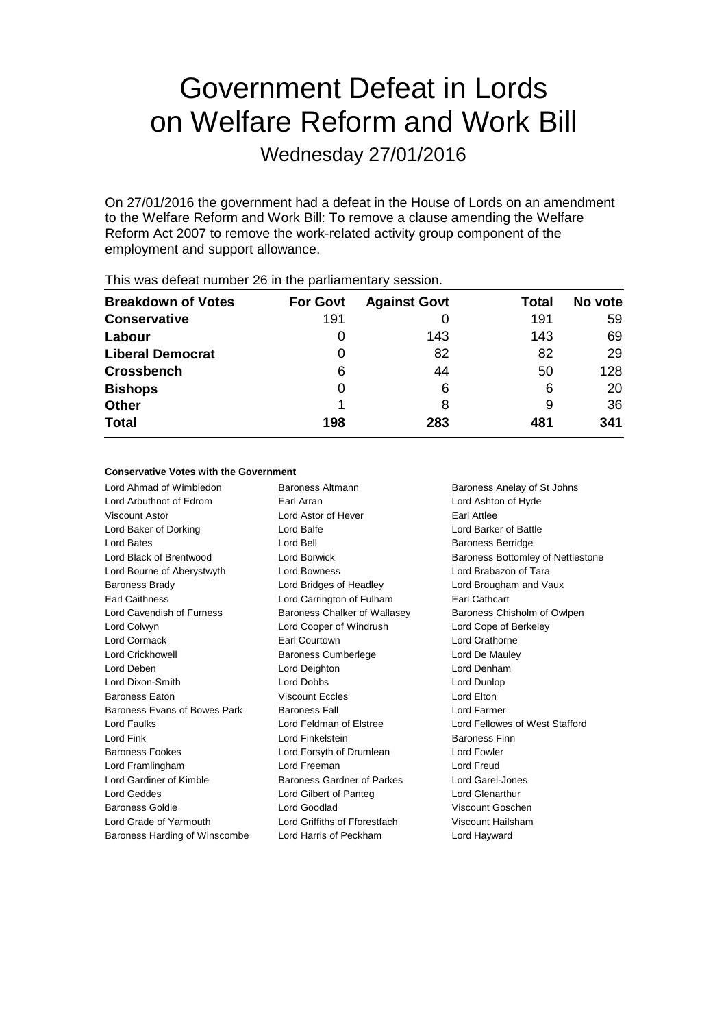# Government Defeat in Lords on Welfare Reform and Work Bill

Wednesday 27/01/2016

On 27/01/2016 the government had a defeat in the House of Lords on an amendment to the Welfare Reform and Work Bill: To remove a clause amending the Welfare Reform Act 2007 to remove the work-related activity group component of the employment and support allowance.

|                           |                 | -                   |       |         |
|---------------------------|-----------------|---------------------|-------|---------|
| <b>Breakdown of Votes</b> | <b>For Govt</b> | <b>Against Govt</b> | Total | No vote |
| <b>Conservative</b>       | 191             |                     | 191   | 59      |
| Labour                    | $\Omega$        | 143                 | 143   | 69      |
| <b>Liberal Democrat</b>   | O               | 82                  | 82    | 29      |
| <b>Crossbench</b>         | 6               | 44                  | 50    | 128     |
| <b>Bishops</b>            | O               | 6                   | 6     | 20      |
| <b>Other</b>              |                 | 8                   | 9     | 36      |
| <b>Total</b>              | 198             | 283                 | 481   | 341     |
|                           |                 |                     |       |         |

This was defeat number 26 in the parliamentary session.

### **Conservative Votes with the Government**

| Lord Ahmad of Wimbledon        | <b>Baroness Altmann</b>       | <b>Baroness A</b>  |
|--------------------------------|-------------------------------|--------------------|
| Lord Arbuthnot of Edrom        | Earl Arran                    | Lord Ashtor        |
| Viscount Astor                 | Lord Astor of Hever           | Earl Attlee        |
| Lord Baker of Dorking          | Lord Balfe                    | Lord Barker        |
| Lord Bates                     | Lord Bell                     | <b>Baroness B</b>  |
| Lord Black of Brentwood        | Lord Borwick                  | <b>Baroness B</b>  |
| Lord Bourne of Aberystwyth     | <b>Lord Bowness</b>           | Lord Braba:        |
| <b>Baroness Brady</b>          | Lord Bridges of Headley       | Lord Brougl        |
| Earl Caithness                 | Lord Carrington of Fulham     | <b>Earl Cathca</b> |
| Lord Cavendish of Furness      | Baroness Chalker of Wallasey  | <b>Baroness C</b>  |
| Lord Colwyn                    | Lord Cooper of Windrush       | Lord Cope          |
| <b>Lord Cormack</b>            | Earl Courtown                 | Lord Cratho        |
| <b>Lord Crickhowell</b>        | <b>Baroness Cumberlege</b>    | Lord De Ma         |
| Lord Deben                     | Lord Deighton                 | Lord Denha         |
| Lord Dixon-Smith               | Lord Dobbs                    | Lord Dunlop        |
| <b>Baroness Eaton</b>          | <b>Viscount Eccles</b>        | Lord Elton         |
| Baroness Evans of Bowes Park   | <b>Baroness Fall</b>          | Lord Farme         |
| Lord Faulks                    | Lord Feldman of Elstree       | <b>Lord Fellow</b> |
| Lord Fink                      | Lord Finkelstein              | <b>Baroness F</b>  |
| <b>Baroness Fookes</b>         | Lord Forsyth of Drumlean      | Lord Fowler        |
| Lord Framlingham               | Lord Freeman                  | Lord Freud         |
| <b>Lord Gardiner of Kimble</b> | Baroness Gardner of Parkes    | Lord Garel-        |
| Lord Geddes                    | Lord Gilbert of Panteg        | Lord Glenar        |
| <b>Baroness Goldie</b>         | Lord Goodlad                  | Viscount G         |
| Lord Grade of Yarmouth         | Lord Griffiths of Fforestfach | Viscount Ha        |
| Baroness Harding of Winscombe  | Lord Harris of Peckham        | Lord Haywa         |

In **Baroness Anelay of St Johns** Lord Ashton of Hyde Lord Barker of Battle Baroness Berridge Baroness Bottomley of Nettlestone Lord Brabazon of Tara Headley **Lord Brougham and Vaux** of Fulham Earl Cathcart In of Wallasey **Baroness Chisholm of Owlpen** Vindrush Lord Cope of Berkeley Lord Crathorne erlege Lord De Mauley Lord Denham Lord Dunlop Lord Elton **Lord Farmer** Elstree **Lord Fellowes of West Stafford Baroness Finn** Baroness Fookes Lord Forsyth of Drumlean Lord Fowler er of Parkes Lord Garel-Jones anteg **Lord Glenarthur** Viscount Goschen Fforestfach Viscount Hailsham ckham Lord Hayward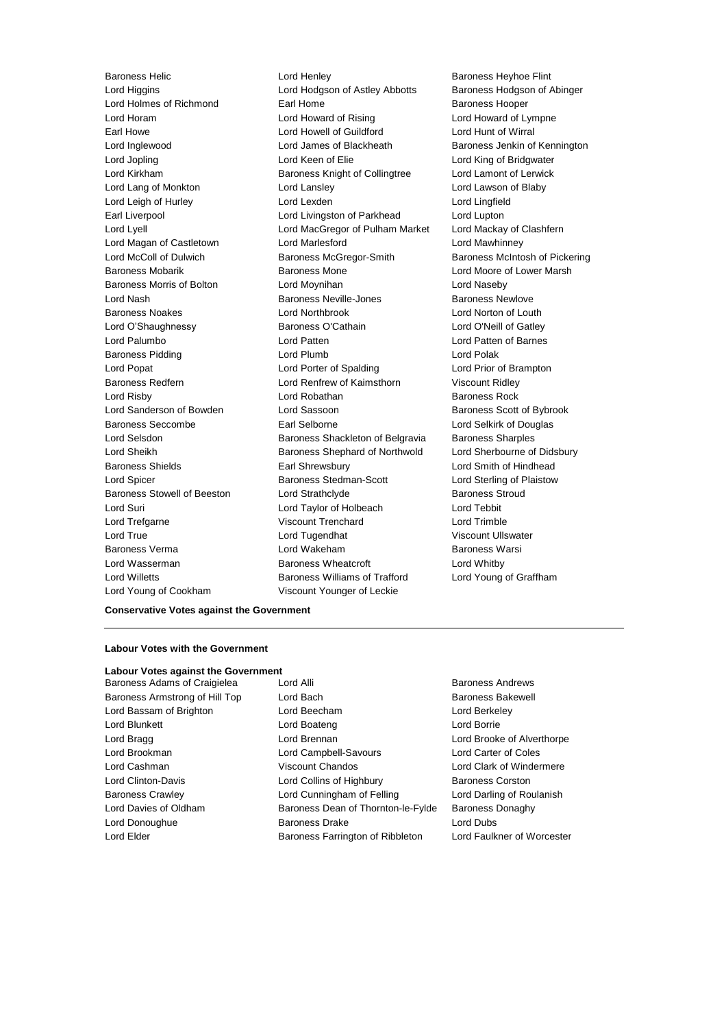Lord Young of Cookham Viscount Younger of Leckie

Baroness Helic **Baroness Helic** Lord Henley **Baroness Heyhoe Flint** Lord Higgins Lord Hodgson of Astley Abbotts Baroness Hodgson of Abinger Lord Holmes of Richmond Earl Home<br>
Lord Horam 
Lord Howard of Rising 
Lord Howard of Ly Lord Horam **Lord Howard of Rising** Lord Howard of Lympne Earl Howe Lord Howell of Guildford Lord Hunt of Wirral Lord Inglewood Lord James of Blackheath Baroness Jenkin of Kennington Lord Jopling **Lord Keen of Elie** Lord Keen Club Lord King of Bridgwater Lord Kirkham **Baroness Knight of Collingtree** Lord Lamont of Lerwick Lord Lang of Monkton Lord Lansley Lord Lawson of Blaby Lord Leigh of Hurley Lord Lexden Lord Lingfield Earl Liverpool Lord Livingston of Parkhead Lord Lupton Lord Lyell Lord MacGregor of Pulham Market Lord Mackay of Clashfern Lord Magan of Castletown Lord Marlesford Lord Mawhinney Lord McColl of Dulwich **Baroness McGregor-Smith** Baroness McIntosh of Pickering Baroness Mobarik **Baroness Mone** Baroness Mone Lord Moore of Lower Marsh Baroness Morris of Bolton Lord Moynihan Lord Naseby Lord Nash **Baroness Neville-Jones** Baroness Newlove Baroness Noakes Lord Northbrook Lord Norton of Louth Lord O'Shaughnessy **Baroness O'Cathain** Lord O'Neill of Gatley Lord Palumbo Lord Patten Lord Patten of Barnes Baroness Pidding **Lord Plumb** Lord Plumb **Lord Polak** Lord Popat **Lord Porter of Spalding Lord Prior of Brampton** Baroness Redfern **Lord Renfrew of Kaimsthorn** Viscount Ridley Lord Risby **Lord Robathan** Baroness Rock Lord Sanderson of Bowden Lord Sassoon Baroness Scott of Bybrook Baroness Seccombe Earl Selborne Lord Selkirk of Douglas Lord Selsdon Baroness Shackleton of Belgravia Baroness Sharples Lord Sheikh **Baroness Shephard of Northwold** Lord Sherbourne of Didsbury Baroness Shields **Earl Shrewsbury** Earl Shrewsbury **Lord Smith of Hindhead** Lord Spicer **Baroness Stedman-Scott** Lord Sterling of Plaistow Baroness Stowell of Beeston Lord Strathclyde Baroness Stroud Lord Suri Lord Taylor of Holbeach Lord Tebbit Lord Trefgarne Viscount Trenchard Lord Trimble Lord True Lord Tugendhat Viscount Ullswater Baroness Verma Lord Wakeham Baroness Warsi Lord Wasserman Baroness Wheatcroft Lord Whitby Lord Willetts **Baroness Williams of Trafford** Lord Young of Graffham

### **Conservative Votes against the Government**

### **Labour Votes with the Government**

## **Labour Votes against the Government**

Baroness Adams of Craigielea Lord Alli **Baroness Andrews** Baroness Andrews Baroness Armstrong of Hill Top Lord Bach Baroness Bakewell Lord Bassam of Brighton Lord Beecham Lord Berkeley Lord Blunkett Lord Boateng Lord Borrie Lord Bragg **Lord Brennan** Lord Brennan Lord Brooke of Alverthorpe Lord Brookman Lord Campbell-Savours Lord Carter of Coles Lord Cashman Viscount Chandos Lord Clark of Windermere Lord Clinton-Davis **Lord Collins of Highbury** Baroness Corston Baroness Crawley **Lord Cunningham of Felling Carol** Lord Darling of Roulanish Lord Davies of Oldham Baroness Dean of Thornton-le-Fylde Baroness Donaghy Lord Donoughue **Baroness Drake** Lord Dubs Lord Elder **Baroness Farrington of Ribbleton** Lord Faulkner of Worcester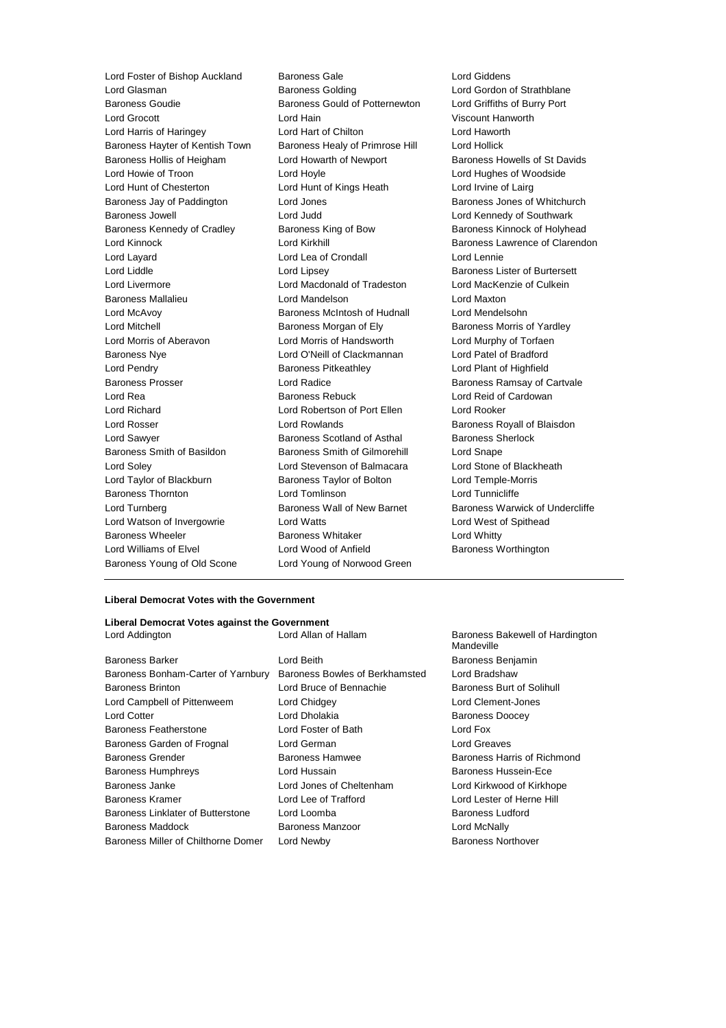Lord Foster of Bishop Auckland Baroness Gale Lord Giddens Lord Glasman Baroness Golding Lord Gordon of Strathblane Baroness Goudie Baroness Gould of Potternewton Lord Griffiths of Burry Port Lord Grocott Lord Hain Viscount Hanworth Lord Harris of Haringey Lord Hart of Chilton Lord Haworth Baroness Hayter of Kentish Town Baroness Healy of Primrose Hill Lord Hollick Baroness Hollis of Heigham Lord Howarth of Newport Baroness Howells of St Davids Lord Howie of Troon Lord Hoyle Lord Hughes of Woodside Lord Hunt of Chesterton Lord Hunt of Kings Heath Lord Irvine of Lairg Baroness Jay of Paddington **Lord Jones** Baroness Jones of Whitchurch Baroness Jowell **Lord Lord Judd** Lord Lord Lord Kennedy of Southwark Baroness Kennedy of Cradley Baroness King of Bow Baroness Kinnock of Holyhead Lord Kinnock Lord Kirkhill Baroness Lawrence of Clarendon Lord Layard Lord Lea of Crondall Lord Lennie Lord Liddle **Lord Lipsey** Lord Lipsey **Baroness Lister of Burtersett** Lord Livermore Lord Macdonald of Tradeston Lord MacKenzie of Culkein Baroness Mallalieu Lord Mandelson Lord Maxton Lord McAvoy **Baroness McIntosh of Hudnall** Lord Mendelsohn Lord Mitchell **Baroness Morgan of Ely** Baroness Morris of Yardley Lord Morris of Aberavon Lord Morris of Handsworth Lord Murphy of Torfaen Baroness Nye Lord O'Neill of Clackmannan Lord Patel of Bradford Lord Pendry Baroness Pitkeathley Lord Plant of Highfield Baroness Prosser **Baroness Prosser Lord Radice Baroness Ramsay of Cartvale** Lord Rea **Baroness Rebuck** Lord Reid of Cardowan Baroness Rebuck Lord Richard Lord Robertson of Port Ellen Lord Rooker Lord Rosser **Lord Rowlands** Baroness Royall of Blaisdon Lord Sawyer Baroness Scotland of Asthal Baroness Sherlock Baroness Smith of Basildon Baroness Smith of Gilmorehill Lord Snape Lord Soley Lord Stevenson of Balmacara Lord Stone of Blackheath Lord Taylor of Blackburn Baroness Taylor of Bolton Lord Temple-Morris Baroness Thornton Lord Tomlinson Lord Tunnicliffe Lord Turnberg **Baroness Wall of New Barnet** Baroness Warwick of Undercliffe Lord Watson of Invergowrie Lord Watts Lord West of Spithead Baroness Wheeler **Baroness Whitaker** Lord Whitty Lord Williams of Elvel **Lord Wood of Anfield** Baroness Worthington Baroness Young of Old Scone Lord Young of Norwood Green

### **Liberal Democrat Votes with the Government**

# **Liberal Democrat Votes against the Government**

|                                     |                                | Mandevill       |
|-------------------------------------|--------------------------------|-----------------|
| <b>Baroness Barker</b>              | Lord Beith                     | <b>Baroness</b> |
| Baroness Bonham-Carter of Yarnbury  | Baroness Bowles of Berkhamsted | Lord Brad       |
| <b>Baroness Brinton</b>             | Lord Bruce of Bennachie        | <b>Baroness</b> |
| Lord Campbell of Pittenweem         | Lord Chidgey                   | Lord Cler       |
| <b>Lord Cotter</b>                  | Lord Dholakia                  | <b>Baroness</b> |
| <b>Baroness Featherstone</b>        | Lord Foster of Bath            | Lord Fox        |
| Baroness Garden of Frognal          | Lord German                    | Lord Grea       |
| <b>Baroness Grender</b>             | <b>Baroness Hamwee</b>         | <b>Baroness</b> |
| <b>Baroness Humphreys</b>           | Lord Hussain                   | <b>Baroness</b> |
| Baroness Janke                      | Lord Jones of Cheltenham       | Lord Kirk       |
| <b>Baroness Kramer</b>              | Lord Lee of Trafford           | Lord Lest       |
| Baroness Linklater of Butterstone   | Lord Loomba                    | <b>Baroness</b> |
| <b>Baroness Maddock</b>             | <b>Baroness Manzoor</b>        | Lord McN        |
| Baroness Miller of Chilthorne Domer | Lord Newby                     | Baroness        |
|                                     |                                |                 |

Baroness Bakewell of Hardington Mandeville Baroness Benjamin Baroness Bonham-Carter of Yarnbury Baroness Bowles of Berkhamsted Lord Bradshaw Baroness Burt of Solihull Lord Clement-Jones Baroness Doocey Lord Greaves Baroness Harris of Richmond Baroness Hussein-Ece Lord Kirkwood of Kirkhope Lord Lester of Herne Hill Baroness Ludford Lord McNally Baroness Northover